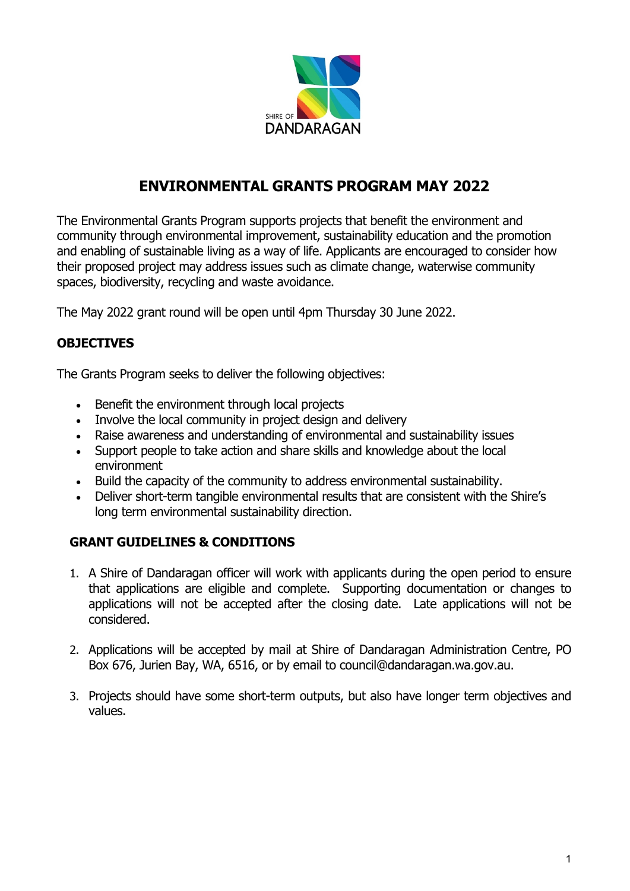

## **ENVIRONMENTAL GRANTS PROGRAM MAY 2022**

The Environmental Grants Program supports projects that benefit the environment and community through environmental improvement, sustainability education and the promotion and enabling of sustainable living as a way of life. Applicants are encouraged to consider how their proposed project may address issues such as climate change, waterwise community spaces, biodiversity, recycling and waste avoidance.

The May 2022 grant round will be open until 4pm Thursday 30 June 2022.

#### **OBJECTIVES**

The Grants Program seeks to deliver the following objectives:

- Benefit the environment through local projects
- Involve the local community in project design and delivery
- Raise awareness and understanding of environmental and sustainability issues
- Support people to take action and share skills and knowledge about the local environment
- Build the capacity of the community to address environmental sustainability.
- Deliver short-term tangible environmental results that are consistent with the Shire's long term environmental sustainability direction.

#### **GRANT GUIDELINES & CONDITIONS**

- 1. A Shire of Dandaragan officer will work with applicants during the open period to ensure that applications are eligible and complete. Supporting documentation or changes to applications will not be accepted after the closing date. Late applications will not be considered.
- 2. Applications will be accepted by mail at Shire of Dandaragan Administration Centre, PO Box 676, Jurien Bay, WA, 6516, or by email to council@dandaragan.wa.gov.au.
- 3. Projects should have some short-term outputs, but also have longer term objectives and values.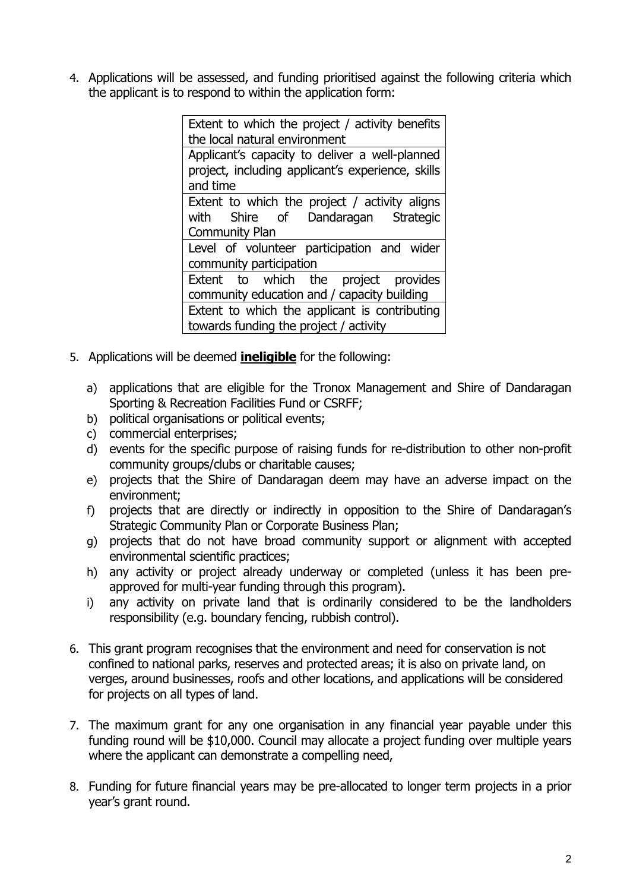4. Applications will be assessed, and funding prioritised against the following criteria which the applicant is to respond to within the application form:

> Extent to which the project / activity benefits the local natural environment Applicant's capacity to deliver a well‐planned project, including applicant's experience, skills and time Extent to which the project / activity aligns with Shire of Dandaragan Strategic Community Plan Level of volunteer participation and wider community participation Extent to which the project provides community education and / capacity building Extent to which the applicant is contributing towards funding the project / activity

- 5. Applications will be deemed **ineligible** for the following:
	- a) applications that are eligible for the Tronox Management and Shire of Dandaragan Sporting & Recreation Facilities Fund or CSRFF;
	- b) political organisations or political events;
	- c) commercial enterprises;
	- d) events for the specific purpose of raising funds for re-distribution to other non-profit community groups/clubs or charitable causes;
	- e) projects that the Shire of Dandaragan deem may have an adverse impact on the environment;
	- f) projects that are directly or indirectly in opposition to the Shire of Dandaragan's Strategic Community Plan or Corporate Business Plan;
	- g) projects that do not have broad community support or alignment with accepted environmental scientific practices;
	- h) any activity or project already underway or completed (unless it has been preapproved for multi-year funding through this program).
	- i) any activity on private land that is ordinarily considered to be the landholders responsibility (e.g. boundary fencing, rubbish control).
- 6. This grant program recognises that the environment and need for conservation is not confined to national parks, reserves and protected areas; it is also on private land, on verges, around businesses, roofs and other locations, and applications will be considered for projects on all types of land.
- 7. The maximum grant for any one organisation in any financial year payable under this funding round will be \$10,000. Council may allocate a project funding over multiple years where the applicant can demonstrate a compelling need,
- 8. Funding for future financial years may be pre-allocated to longer term projects in a prior year's grant round.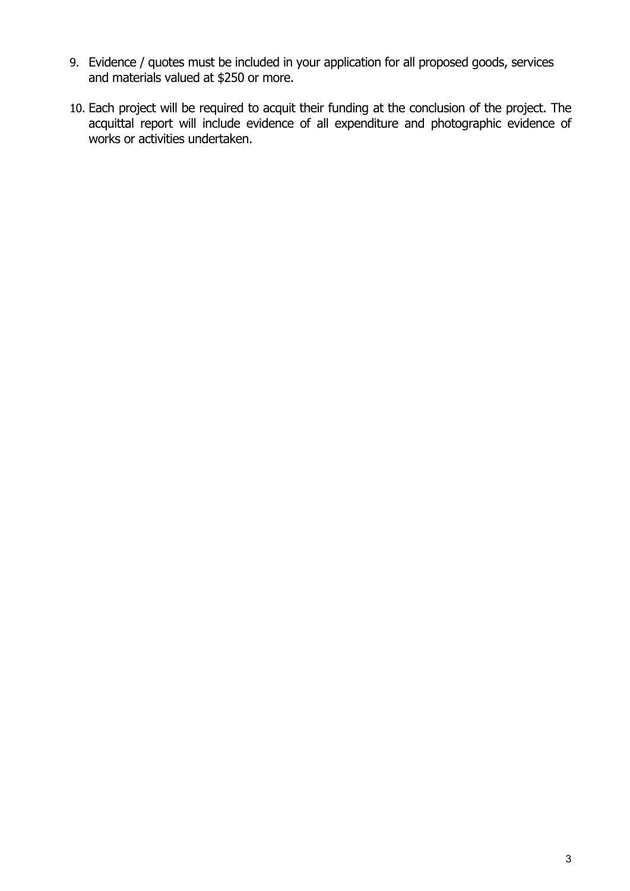- 9. Evidence / quotes must be included in your application for all proposed goods, services and materials valued at \$250 or more.
- 10. Each project will be required to acquit their funding at the conclusion of the project. The acquittal report will include evidence of all expenditure and photographic evidence of works or activities undertaken.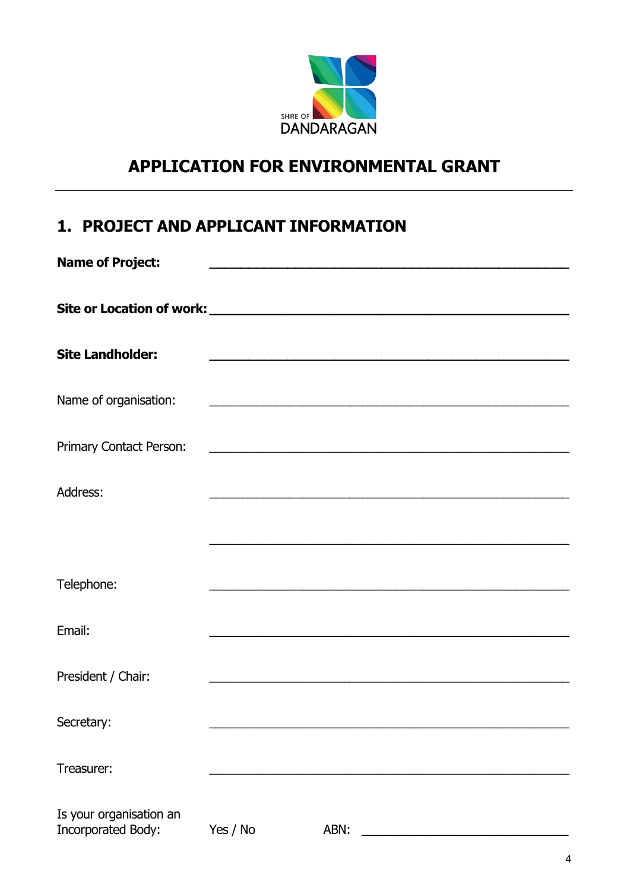

# **APPLICATION FOR ENVIRONMENTAL GRANT**

## 1. PROJECT AND APPLICANT INFORMATION

| <b>Name of Project:</b>                              |          |                                                                                                                       |  |
|------------------------------------------------------|----------|-----------------------------------------------------------------------------------------------------------------------|--|
|                                                      |          |                                                                                                                       |  |
|                                                      |          |                                                                                                                       |  |
| <b>Site Landholder:</b>                              |          | <u> 1989 - Paris Paris II, martin din sebagai pada 2000 - Paris Paris Paris Paris Paris Paris Paris Paris Paris P</u> |  |
| Name of organisation:                                |          | <u> 1989 - Johann John Stone, mars eta bainar eta mondo eta erroman eta erroman erroman erroman erroman erroman e</u> |  |
| Primary Contact Person:                              |          |                                                                                                                       |  |
| Address:                                             |          |                                                                                                                       |  |
|                                                      |          |                                                                                                                       |  |
|                                                      |          |                                                                                                                       |  |
| Telephone:                                           |          |                                                                                                                       |  |
| Email:                                               |          |                                                                                                                       |  |
| President / Chair:                                   |          |                                                                                                                       |  |
|                                                      |          |                                                                                                                       |  |
| Secretary:                                           |          |                                                                                                                       |  |
| Treasurer:                                           |          |                                                                                                                       |  |
| Is your organisation an<br><b>Incorporated Body:</b> | Yes / No | ABN:                                                                                                                  |  |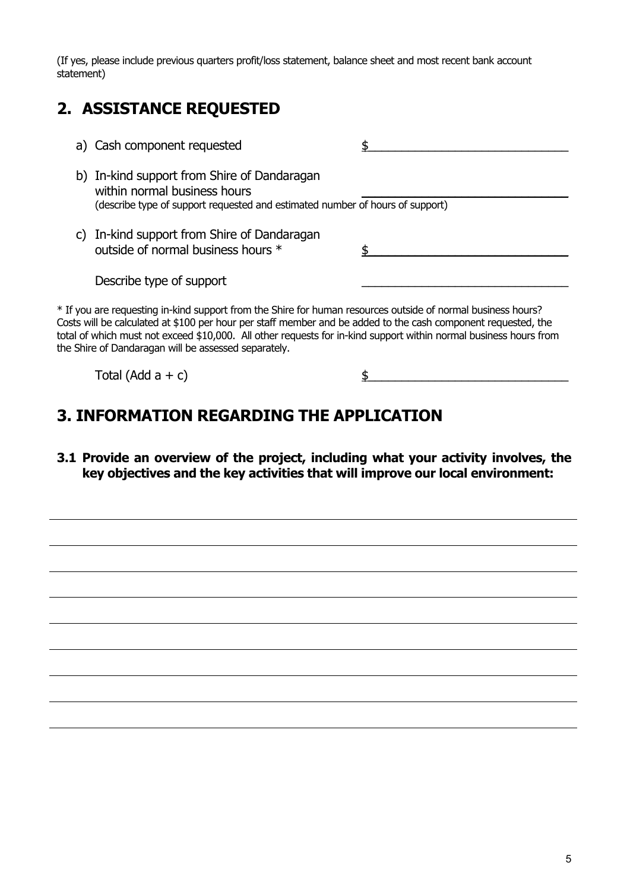(If yes, please include previous quarters profit/loss statement, balance sheet and most recent bank account statement)

## **2. ASSISTANCE REQUESTED**

| a) Cash component requested                                                                                                                                                                                                                                                                                                                                                                                |  |
|------------------------------------------------------------------------------------------------------------------------------------------------------------------------------------------------------------------------------------------------------------------------------------------------------------------------------------------------------------------------------------------------------------|--|
| b) In-kind support from Shire of Dandaragan<br>within normal business hours<br>(describe type of support requested and estimated number of hours of support)                                                                                                                                                                                                                                               |  |
| c) In-kind support from Shire of Dandaragan<br>outside of normal business hours *                                                                                                                                                                                                                                                                                                                          |  |
| Describe type of support                                                                                                                                                                                                                                                                                                                                                                                   |  |
| * If you are requesting in-kind support from the Shire for human resources outside of normal business hours?<br>Costs will be calculated at \$100 per hour per staff member and be added to the cash component requested, the<br>total of which must not exceed \$10,000. All other requests for in-kind support within normal business hours from<br>the Shire of Dandaragan will be assessed separately. |  |

Total (Add  $a + c$ )  $\frac{1}{2}$   $\frac{1}{2}$   $\frac{1}{2}$   $\frac{1}{2}$   $\frac{1}{2}$   $\frac{1}{2}$   $\frac{1}{2}$   $\frac{1}{2}$   $\frac{1}{2}$   $\frac{1}{2}$   $\frac{1}{2}$   $\frac{1}{2}$   $\frac{1}{2}$   $\frac{1}{2}$   $\frac{1}{2}$   $\frac{1}{2}$   $\frac{1}{2}$   $\frac{1}{2}$   $\frac{1}{2}$   $\frac{1}{2}$   $\frac$ 

## **3. INFORMATION REGARDING THE APPLICATION**

**3.1 Provide an overview of the project, including what your activity involves, the key objectives and the key activities that will improve our local environment:**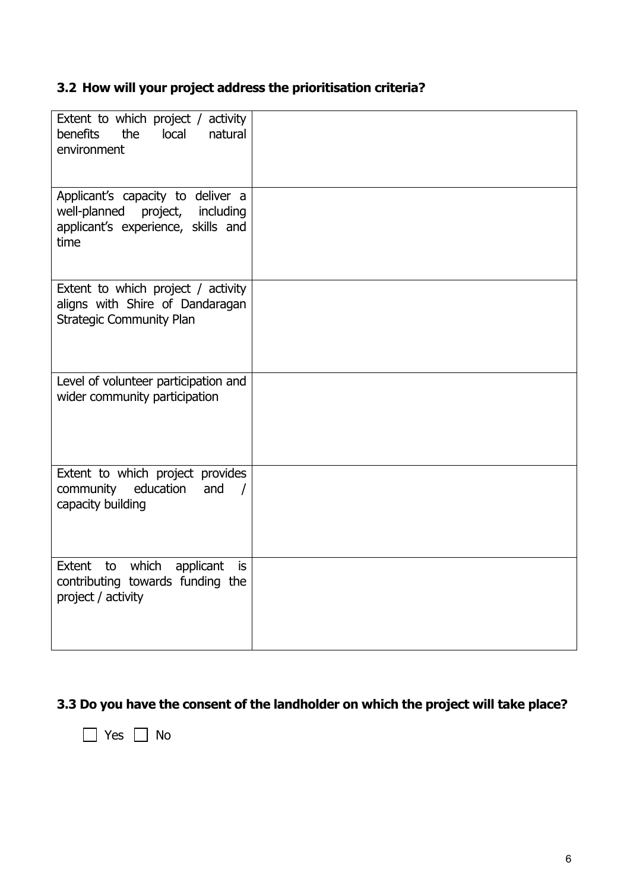### **3.2 How will your project address the prioritisation criteria?**

| Extent to which project / activity<br>benefits<br>the<br>local<br>natural<br>environment                           |  |
|--------------------------------------------------------------------------------------------------------------------|--|
| Applicant's capacity to deliver a<br>well-planned project, including<br>applicant's experience, skills and<br>time |  |
| Extent to which project / activity<br>aligns with Shire of Dandaragan<br><b>Strategic Community Plan</b>           |  |
| Level of volunteer participation and<br>wider community participation                                              |  |
| Extent to which project provides<br>and<br>community education<br>$\sqrt{ }$<br>capacity building                  |  |
| Extent to which applicant<br>is<br>contributing towards funding the<br>project / activity                          |  |

## **3.3 Do you have the consent of the landholder on which the project will take place?**

■ Yes ■ No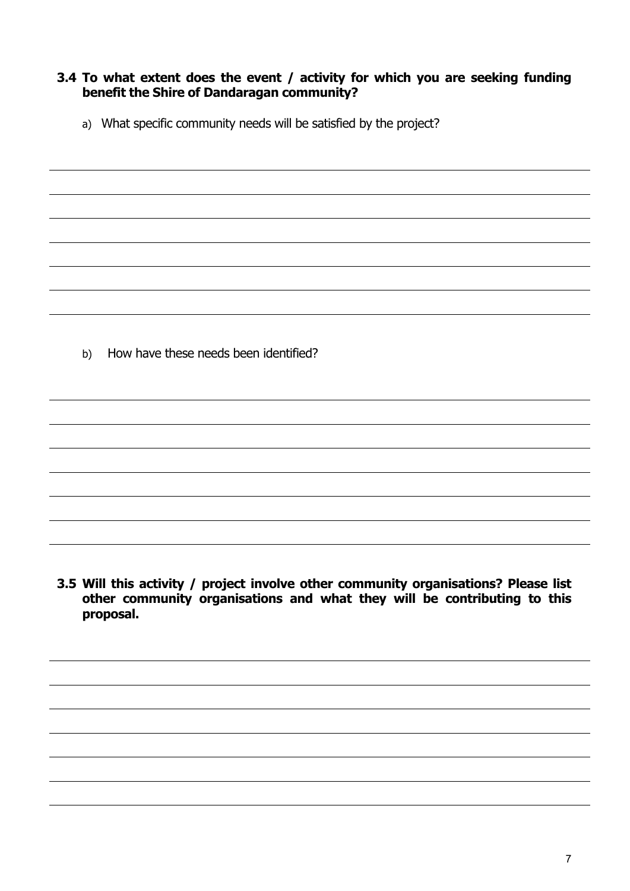#### **3.4 To what extent does the event / activity for which you are seeking funding benefit the Shire of Dandaragan community?**

a) What specific community needs will be satisfied by the project?

b) How have these needs been identified?

**3.5 Will this activity / project involve other community organisations? Please list other community organisations and what they will be contributing to this proposal.**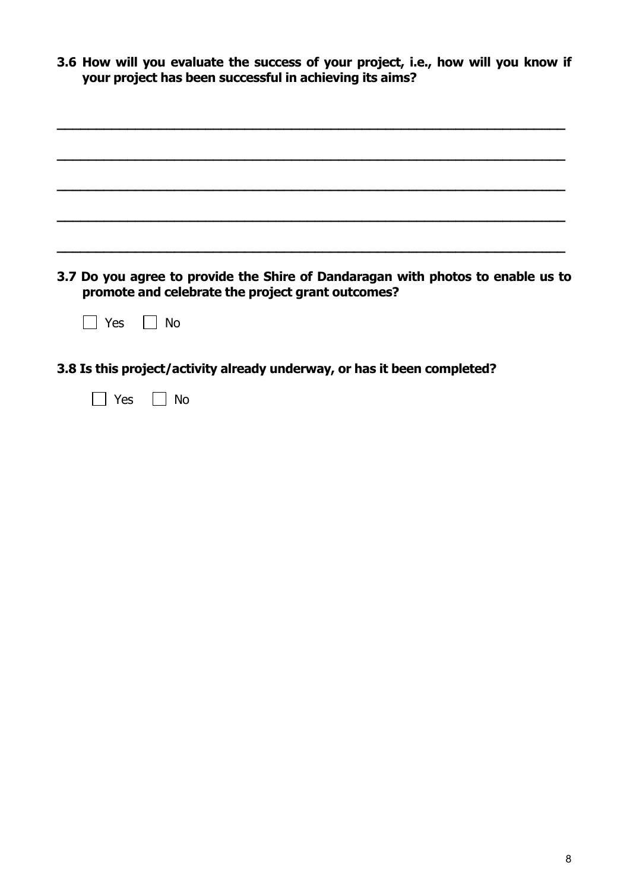| 3.6 How will you evaluate the success of your project, i.e., how will you know if |
|-----------------------------------------------------------------------------------|
| your project has been successful in achieving its aims?                           |

| 3.7 Do you agree to provide the Shire of Dandaragan with photos to enable us to<br>promote and celebrate the project grant outcomes? |
|--------------------------------------------------------------------------------------------------------------------------------------|
| No<br>Yes                                                                                                                            |
| 3.8 Is this project/activity already underway, or has it been completed?                                                             |
| No<br>Yes                                                                                                                            |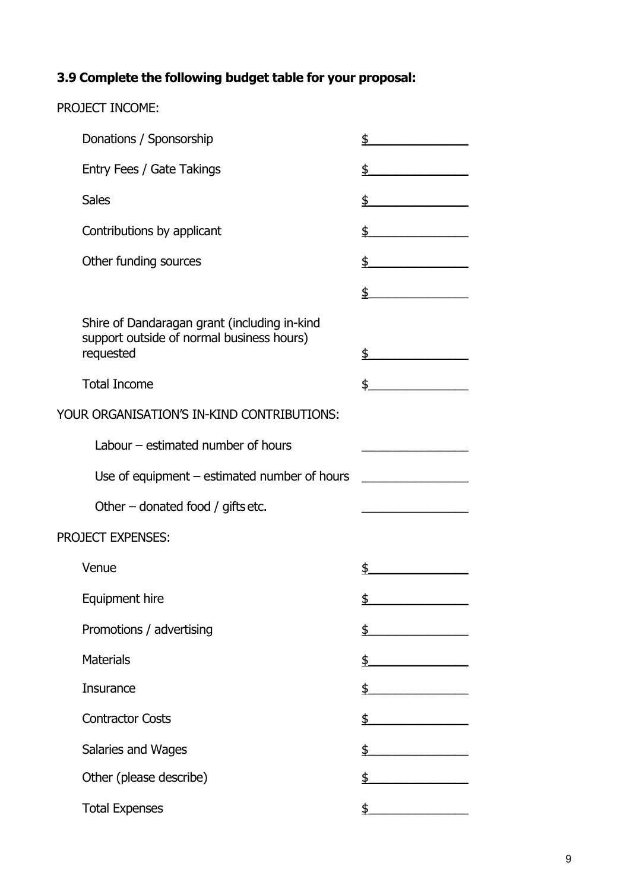#### **3.9 Complete the following budget table for your proposal:**

PROJECT INCOME:

# Donations / Sponsorship  $\qquad \qquad$  \$ Entry Fees / Gate Takings  $\frac{2}{3}$ Sales  $\frac{1}{2}$ Contributions by applicant  $\frac{1}{2}$ Other funding sources  $\frac{1}{2}$  $\updownarrow$ Shire of Dandaragan grant (including in-kind support outside of normal business hours) requested  $\qquad \qquad$  \$ Total Income  $\qquad \qquad$  \$ YOUR ORGANISATION'S IN-KIND CONTRIBUTIONS: Labour  $-$  estimated number of hours Use of equipment – estimated number of hours \_\_\_\_\_\_\_\_\_\_\_\_\_\_\_\_\_\_\_\_\_\_\_\_\_\_\_\_\_\_\_\_\_\_\_ Other – donated food / gifts etc. PROJECT EXPENSES:  $\frac{1}{2}$  Venue Equipment hire  $\qquad \qquad$   $\qquad \qquad$ Promotions / advertising  $\qquad \qquad \qquad$  \$ Materials  $\qquad \qquad \Rightarrow$ Insurance  $\qquad \qquad$  \$ Contractor Costs \$\_\_\_\_\_\_\_\_\_\_\_\_\_\_\_ Salaries and Wages  $\overline{\text{S}}$ Other (please describe)  $\qquad \qquad$  \$

Total Expenses  $\qquad \qquad \qquad$   $\qquad \qquad$   $\qquad \qquad$